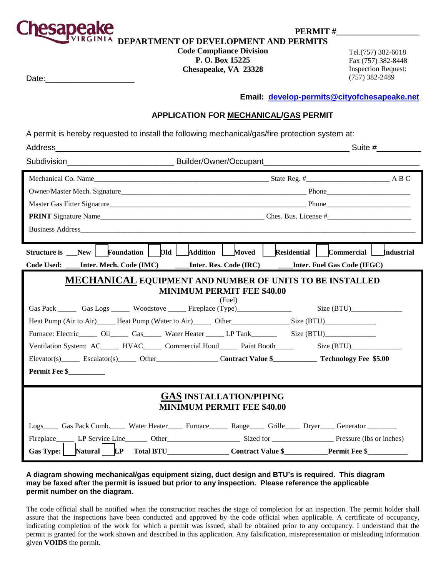

PERMIT #

**DEPARTMENT OF DEVELOPMENT AND PERMITS**

# **Code Compliance Division P. O. Box 15225**

**Chesapeake, VA 23328**

Tel.(757) 382-6018 Fax (757) 382-8448 Inspection Request: Date:\_\_\_\_\_\_\_\_\_\_\_\_\_\_\_\_\_\_\_\_ (757) 382 -2489

**Email: [develop-permits@cityofchesapeake.net](mailto:develop-permits@cityofchesapeake.net)**

### **APPLICATION FOR MECHANICAL/GAS PERMIT**

A permit is hereby requested to install the following mechanical/gas/fire protection system at:

| Business Address and the state of the state of the state of the state of the state of the state of the state of the state of the state of the state of the state of the state of the state of the state of the state of the st                                                                                                                                                                                                                                                                                                                                                        |  |  |  |  |  |  |
|---------------------------------------------------------------------------------------------------------------------------------------------------------------------------------------------------------------------------------------------------------------------------------------------------------------------------------------------------------------------------------------------------------------------------------------------------------------------------------------------------------------------------------------------------------------------------------------|--|--|--|--|--|--|
| Structure is New   Foundation   Old   Addition   Moved   Residential   Commercial   Industrial                                                                                                                                                                                                                                                                                                                                                                                                                                                                                        |  |  |  |  |  |  |
| Code Used: ____Inter. Mech. Code (IMC) ______Inter. Res. Code (IRC) ______Inter. Fuel Gas Code (IFGC)                                                                                                                                                                                                                                                                                                                                                                                                                                                                                 |  |  |  |  |  |  |
| <b>MECHANICAL EQUIPMENT AND NUMBER OF UNITS TO BE INSTALLED</b><br><b>MINIMUM PERMIT FEE \$40.00</b><br>(Fuel)<br>Gas Pack ________ Gas Logs _______ Woodstove ______ Fireplace (Type)________________________________ Size (BTU)________________________<br>Heat Pump (Air to Air) Heat Pump (Water to Air) Other Size (BTU)<br>Furnace: Electric_______ Oil________ Gas_______ Water Heater _______ LP Tank__________________________________<br>Elevator(s)_____ Escalator(s)______ Other____________________ Contract Value \$____________ Technology Fee \$5.00<br>Permit Fee \$ |  |  |  |  |  |  |
| <b>GAS INSTALLATION/PIPING</b><br><b>MINIMUM PERMIT FEE \$40.00</b><br>Logs____ Gas Pack Comb.____ Water Heater____ Furnace_____ Range____ Grille____ Dryer____ Generator _______                                                                                                                                                                                                                                                                                                                                                                                                     |  |  |  |  |  |  |
|                                                                                                                                                                                                                                                                                                                                                                                                                                                                                                                                                                                       |  |  |  |  |  |  |

#### **A diagram showing mechanical/gas equipment sizing, duct design and BTU's is required. This diagram may be faxed after the permit is issued but prior to any inspection. Please reference the applicable permit number on the diagram.**

The code official shall be notified when the construction reaches the stage of completion for an inspection. The permit holder shall assure that the inspections have been conducted and approved by the code official when applicable. A certificate of occupancy, indicating completion of the work for which a permit was issued, shall be obtained prior to any occupancy. I understand that the permit is granted for the work shown and described in this application. Any falsification, misrepresentation or misleading information given **VOIDS** the permit.